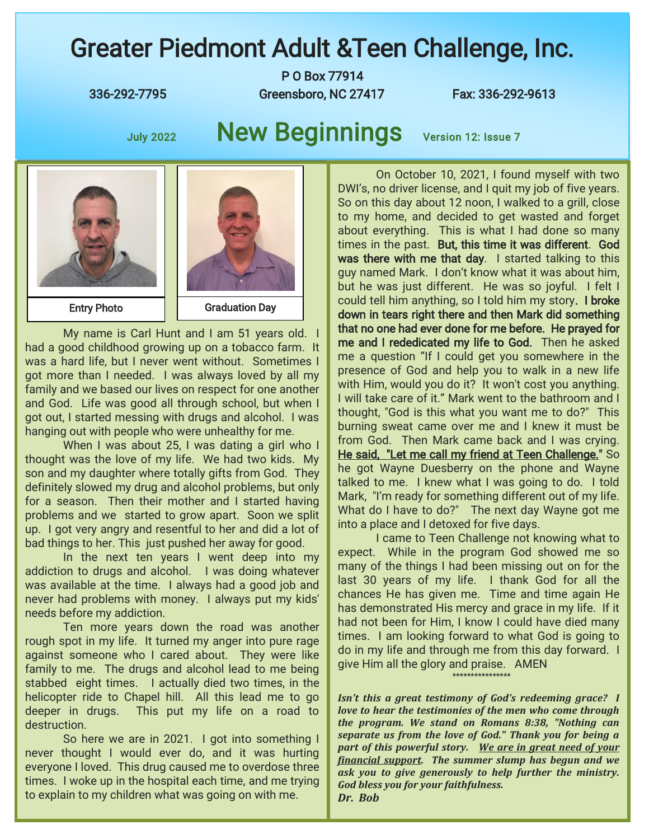## Greater Piedmont Adult &Teen Challenge, Inc.

P O Box 77914 336-292-7795 Greensboro, NC 27417 Fax: 336-292-9613

## July 2022 New Beginnings Version 12: Issue 7



My name is Carl Hunt and I am 51 years old. I had a good childhood growing up on a tobacco farm. It was a hard life, but I never went without. Sometimes I got more than I needed. I was always loved by all my family and we based our lives on respect for one another and God. Life was good all through school, but when I got out, I started messing with drugs and alcohol. I was hanging out with people who were unhealthy for me.

When I was about 25, I was dating a girl who I thought was the love of my life. We had two kids. My son and my daughter where totally gifts from God. They definitely slowed my drug and alcohol problems, but only for a season. Then their mother and I started having problems and we started to grow apart. Soon we split up. I got very angry and resentful to her and did a lot of bad things to her. This just pushed her away for good.

In the next ten years I went deep into my addiction to drugs and alcohol. I was doing whatever was available at the time. I always had a good job and never had problems with money. I always put my kids' needs before my addiction.

Ten more years down the road was another rough spot in my life. It turned my anger into pure rage against someone who I cared about. They were like family to me. The drugs and alcohol lead to me being stabbed eight times. I actually died two times, in the helicopter ride to Chapel hill. All this lead me to go deeper in drugs. This put my life on a road to destruction.

So here we are in 2021. I got into something I never thought I would ever do, and it was hurting everyone I loved. This drug caused me to overdose three times. I woke up in the hospital each time, and me trying to explain to my children what was going on with me.

On October 10, 2021, I found myself with two DWI's, no driver license, and I quit my job of five years. So on this day about 12 noon, I walked to a grill, close to my home, and decided to get wasted and forget about everything. This is what I had done so many times in the past. But, this time it was different. God was there with me that day. I started talking to this guy named Mark. I don't know what it was about him, but he was just different. He was so joyful. I felt I could tell him anything, so I told him my story. I broke down in tears right there and then Mark did something that no one had ever done for me before. He prayed for me and I rededicated my life to God. Then he asked me a question "If I could get you somewhere in the presence of God and help you to walk in a new life with Him, would you do it? It won't cost you anything. I will take care of it." Mark went to the bathroom and I thought, "God is this what you want me to do?" This burning sweat came over me and I knew it must be from God. Then Mark came back and I was crying. He said, "Let me call my friend at Teen Challenge." So he got Wayne Duesberry on the phone and Wayne talked to me. I knew what I was going to do. I told Mark, "I'm ready for something different out of my life. What do I have to do?" The next day Wayne got me into a place and I detoxed for five days.

I came to Teen Challenge not knowing what to expect. While in the program God showed me so many of the things I had been missing out on for the last 30 years of my life. I thank God for all the chances He has given me. Time and time again He has demonstrated His mercy and grace in my life. If it had not been for Him, I know I could have died many times. I am looking forward to what God is going to do in my life and through me from this day forward. I give Him all the glory and praise. AMEN \*\*\*\*\*\*\*\*\*\*\*\*\*\*\*\*

*Isn't this a great testimony of God's redeeming grace? I love to hear the testimonies of the men who come through the program. We stand on Romans 8:38, "Nothing can separate us from the love of God." Thank you for being a part of this powerful story. We are in great need of your financial support. The summer slump has begun and we ask you to give generously to help further the ministry. God bless you for your faithfulness. Dr. Bob*